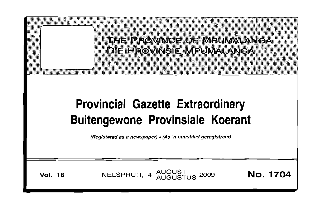



**Vol. 16 NELSPRUIT, 4 AUGUST 2009 <b>NO. 1704**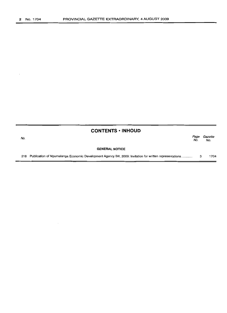$\ddot{\phantom{a}}$ 

|     | <b>CONTENTS • INHOUD</b>                                                                                     |             |                |
|-----|--------------------------------------------------------------------------------------------------------------|-------------|----------------|
| No. |                                                                                                              | Page<br>No. | Gazette<br>No. |
|     | <b>GENERAL NOTICE</b>                                                                                        |             |                |
|     | 218 Publication of Mpumalanga Economic Development Agency Bill, 2009: Invitation for written representations |             | 1704           |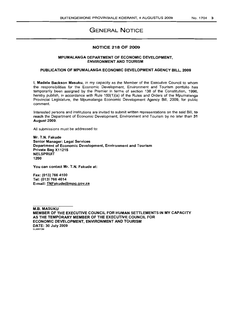## GENERAL NOTICE

### NOTICE 218 OF 2009

#### MPUMALANGA DEPARTMENT OF ECONOMIC DEVELOPMENT, ENVIRONMENT AND TOURISM

#### PUBLICATION OF MPUMALANGA ECONOMIC DEVELOPMENT AGENCY BILL, 2009

I, Madala Backson Masuku, in my capacity as the Member of the Executive Council to whom the responsibilities for the Economic Development, Environment and Tourism portfolio has temporarily been assigned by the Premier in terms of section 138 of the Constitution, 1996, hereby publish, in accordance with Rule 150(1)(a) of the Rules and Orders of the Mpumalanga Provincial Legislature, the Mpumalanga Economic Development Agency Bill, 2009, for public comment.

Interested persons and institutions are invited to submit written representations on the said Bill, to reach the Department of Economic Development, Environment and Tourism by no later than 31 August 2009.

All submissions must be addressed to:

Mr. T.N. Fakude Senior Manager: Legal Services Department of Economic Development, Environment and Tourism Private Bag X11215 **NELSPRUIT** 1200

You can contact Mr. T.N. Fakude at:

Fax: (013) 766 4100 Tel: (013) 766 4614 E-mail: TNFakude@mpg.gov.za

M.B. MASUKU MEMBER OF THE EXECUTIVE COUNCIL FOR HUMAN SETTLEMENTS IN MY CAPACITY AS THE TEMPORARY MEMBER OF THE EXECUTIVE COUNCIL FOR ECONOMIC DEVELOPMENT, ENVIRONMENT AND TOURISM DATE: 30 July 2009 SLA6870M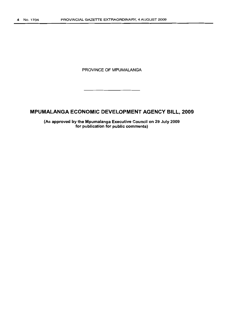PROVINCE OF MPUMALANGA

# **MPUMALANGA ECONOMIC DEVELOPMENT AGENCY BILL, 2009**

**(As approved by the Mpumalanga Executive Council on 29 July 2009 for publication for public comments)**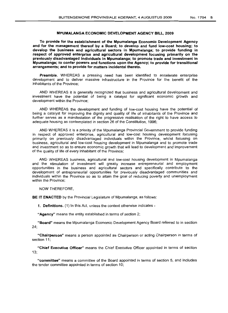#### MPUMALANGA ECONOMIC DEVELOPMENT AGENCY BILL, 2009

To provide for the establishment of the Mpumalanga Economic Development Agency and for the management thereof by a Board; to develop and fund low-cost housing; to develop the business and agricultural sectors in Mpumalanga; to provide funding in respect of approved enterprise and agricultural development focusing primarily on the previously disadvantaged individuals in Mpumalanga; to promote trade and investment in Mpumalanga; to confer powers and functions upon the Agency; to provide for transitional arrangements; and to provide for matters incidental thereto.

Preamble. WHEREAS a pressing need has been identified to accelerate enterprise development and to deliver massive infrastructure in the Province for the benefit of the inhabitants of the Province;

AND WHEREAS it is generally recognized that business and agricultural development and investment have the potential of being a catalyst for significant economic growth and development within the Province;

AND WHEREAS the development and funding of low-cost housing have the potential of being a catalyst for improving the dignity and quality of life of inhabitants of the Province and further serves as a manifestation of the progressive realisation of the right to have access to adequate housing as contemplated in section 26 of the Constitution, 1996;

AND WHEREAS it is a priority of the Mpumalanga Provincial Government to provide funding in respect of approved enterprise, agricultural and low-cost housing development focusing primarily on previously disadvantaged individuals within the Province, whilst focusing on business, agricultural and low-cost housing development in Mpumalanga and to promote trade and investment so as to ensure economic growth that will lead to development and improvement of the quality of life of every inhabitant of the Province;

AND WHEREAS business, agricultural and low-cost housing development in Mpumalanga and the stimulation of investment will greatly increase entrepreneurial and employment opportunities in the business and agricultural sectors and specifically contribute to the development of entrepreneurial opportunities for previously disadvantaged communities and individuals within the Province so as to attain the goal of reducing poverty and unemployment within the Province;

NOW THEREFORE,

BE IT ENACTED by the Provincial Legislature of Mpumalanga, as follows:

1. Definitions. (1) In this Act, unless the context otherwise indicates -

"Agency" means the entity established in terms of section 2;

"Board" means the Mpumalanga Economic Development Agency Board referred to in section 24;

"Chairperson" means a person appointed as Chairperson or acting Chairperson in terms of section 11;

"Chief Executive Officer" means the Chief Executive Officer appointed in terms of section 13;

"committee" means a committee of the Board appointed in terms of section 5, and includes the tender committee appointed in terms of section 10;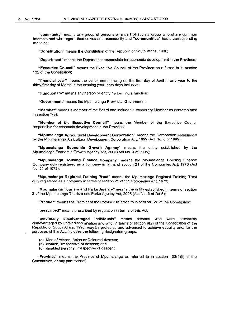**"community"** means any group of persons or a part of such a group who share common interests and who regard themselves as a community and **"communities"** has a corresponding meaning;

**"Constitution"** means the Constitution of the Republic of South Africa, 1996;

**"Department"** means the Department responsible for economic development in the Province;

**"Executive Council"** means the Executive Council of the Province as referred to in section 132 of the Constitution;

**"financial year"** means the period commencing on the first day of April in any year to the thirty-first day of March in the ensuing year, both days inclusive;

**"Functionary"** means any person or entity performing a function;

**"Government"** means the Mpumalanga Provincial Government;

**"Member"** means a Member of the Board and includes a temporary Member as contemplated in section 7(3);

**"Member of the Executive Council"** means the Member of the Executive Council responsible for economic development in the Province;

**"Mpumalanga Agricultural Development Corporation"** means the Corporation established by the Mpumalanga Agricultural Development Corporation Act, 1999 (Act No. 6 of 1999);

**"Mpumalanga Economic Growth Agency"** means the entity established by the Mpumalanga Economic Growth Agency Act, 2005 (Act No.4 of 2005);

**"Mpumalanga Housing Finance Company"** means the Mpumalanga Housing Finance Company duly registered as a company in terms of section 21 of the Companies Act, 1973 (Act No. 61 of 1973);

**"Mpumalanga Regional Training Trust"** means the Mpumalanga Regional Training Trust duly registered as a company in terms of section 21 of the Companies Act, 1973;

**"Mpumalanga Tourism and Parks Agency"** means the entity established in terms of section 2 of the Mpumalanga Tourism and Parks Agency Act, 2005 (Act No. 5 of 2005);

**"Premier"** means the Premier of the Province referred to in section 125 of the Constitution;

**"prescribed"** means prescribed by regulation in terms of this Act;

**"previously disadvantaged individuals"** means persons who were previously disadvantaged by unfair discrimination and who, in terms of section 9(2) of the Constitution of the Republic of South Africa, 1996, may be protected and advanced to achieve equality and, for the purposes of this Act, includes the following designated groups:

- (a) Men of African, Asian or Coloured descent;
- (b) women, irrespective of descent; and
- (c) disabled persons, irrespective of descent;

**"Province"** means the Province of Mpumalanga as referred to in section 103(1 )(f) of the Constitution, or any part thereof;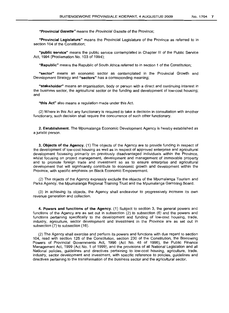"Provincial Gazette" means the Provincial Gazette of the Province;

"Provincial Legislature" means the Provincial Legislature of the Province as referred to in section 104 of the Constitution;

"public service" means the public service contemplated in Chapter III of the Public Service Act, 1994 (Proclamation No. 103 of 1994);

"Republic" means the Republic of South Africa referred to in section 1 of the Constitution;

"sector" means an economic sector as contemplated in the Provincial Growth and Development Strategy and "sectors" has a corresponding meaning;

"stakeholder" means an organisation, body or person with a direct and continuing interest in the business sector, the agricultural sector or the funding and development of low-cost housing; and

"this Act" also means a regulation made under this Act.

(2) Where in this Act any functionary is required to take a decision in consultation with another functionary, such decision shall require the concurrence of such other functionary.

2. Establishment. The Mpumalanga Economic Development Agency is hereby established as a juristic person.

3. Objects of the Agency. (1) The objects of the Agency are to provide funding in respect of the development of low-cost housing as well as in respect of approved enterprise and agricultural development focussing primarily on previously disadvantaged individuals within the Province, whilst focusing on project management, development and management of immovable property and to promote foreign trade and investment so as to ensure enterprise and agricultural development that will significantly contribute to economic growth and development within the Province, with specific emphasis on Black Economic Empowerment.

(2) The objects of the Agency expressly exclude the objects of the Mpumalanga Tourism and Parks Agency, the Mpumalanga Regional Training Trust and the Mpumalanga Gambling Board.

(3) In achieving its Objects, the Agency shall endeavour to progressively increase its own revenue generation and collection.

4. Powers and functions of the Agency. (1) Subject to section 3, the general powers and functions of the Agency are as set out in subsection (2) to subsection (6) and the powers and functions pertaining specifically to the development and funding of low-cost housing, trade, industry, agriculture, sector development and investment in the Province are as set out in subsection (7) to subsection (16).

(2) The Agency shall exercise and perform its powers and functions with due regard to section 104, read with section 125 of the Constitution, section 230 of the Constitution, the Borrowing Powers of Provincial Governments Act, 1996 (Act No. 48 of 1996), the Public Finance Management Act, 1999 (Act No. 1 of 1999), and the provisions of all National Legislation and all National policies, guidelines and directives pertaining to low-cost housing, agriculture. trade, industry, sector development and investment, with specific reference to policies, guidelines and directives pertaining to the transformation of the business sector and the agricultural sector.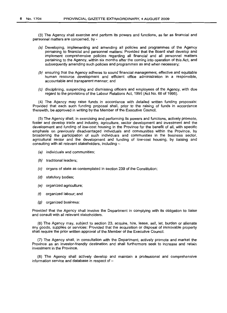(3) The Agency shall exercise and perform its powers and functions, as far as financial and personnel matters are concerned, by -

- (a) Developing, implementing and amending all policies and programmes of the Agency pertaining to financial and personnel matters: Provided that the Board shall develop and implement comprehensive policies regarding all financial and all personnel matters pertaining to the Agency, within six months after the coming into operation of this Act, and subsequently amending such policies and programmes as and when necessary;
- (b) ensuring that the Agency adheres to sound financial management, effective and equitable human resource development and efficient office administration in a responsible, accountable and transparent manner; and
- (c) disciplining, suspending and dismissing officers and employees of the Agency, with due regard to the provisions of the Labour Relations Act, 1995 (Act No. 66 of 1995).

(4) The Agency may raise funds. in accordance with detailed written funding proposals: Provided that each such funding proposal shall, prior to the raising of funds in accordance therewith, be approved.in writing by the Member of the Executive Council.

(5) The Agency shall, in exercising and performing its powers and functions, actively promote, foster and develop trade and industry, agriculture, sector development and investment and the development and funding of low-cost housing in the Province for the benefit of all, with specific emphasis on previously disadvantaged individuals and communities within the Province, by broadening the participation of such individuals and communities in the business sector, agricultural sector and the development and funding of low-cost housing, by liaising and consulting with all relevant stakeholders, including -

- (a) individuals and communities;
- (b) traditional leaders;
- (c) organs of state as contemplated in section 239 of the Constitution;
- (d) statutory bodies;
- (e) organized agriculture;
- (f) organized labour; and
- (g) organized business:

Provided that the Agency shall involve the Department in complying with its obligation to liaise and consult with all relevant stakeholders.

(6) The Agency may, subject to section 23, acquire, hire, lease, sell, let, burden or alienate any goods, supplies or services: Provided that the acquisition or disposal of immovable property shall require the prior written approval of the Member of the Executive Council.

(7) The Agency shall, in consultation with the Department, actively promote and market the Province as an investor-friendly destination and shall furthermore seek to increase and retain investment in the Province.

(8) The Agency shall actively develop and maintain a professional and comprehensive information service and database in respect of  $-$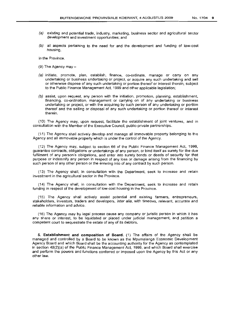- (a) existing and potential trade, industry, marketing, business sector and agricultural sector
- development and investment opportunities; and
- $(b)$  all aspects pertaining to the need for and the development and funding of low-cost housing,

in the Province.

- (9) The Agency may  $-$
- (a) initiate, promote, plan, establish, finance, co-ordinate, manage or carry on any undertaking or business undertaking or project, or acquire any such undertaking and sell or otherwise dispose of any such undertaking or portion thereof or interest therein, subject to the Public Finance Management Act, 1999 and other applicable legislation;
- (b) assist, upon request, any person with the initiation, promotion, planning, establishment, financing, co-ordination, management or carrying on of any undertaking or business undertaking or project, or with the acquiring by such person of any undertaking or portion thereof and the selling or disposal of any such undertaking or portion thereof or interest therein.

(10) The Agency may, upon request, facilitate the establishment of joint ventures, and in consultation with the Member of the Executive Council, public-private partnerships.

(11) The Agency shall actively develop and manage all immovable property belonging to the Agency and all immovable property which is under the control of the Agency.

(12) The Agency may, subject to section 66 of the Public Finance Management Act, 1999, guarantee contracts, obligations or undertakings of any person, or bind itself as surety for the due fulfilment of any person's obligations, and enter into surety bonds or deeds of security for that purpose or indemnify any person in respect of any loss or damage arising from the financing by such person of any other person or the entering into of any contract by such person.

(13) The Agency shall, in consultation with the Department, seek to increase and retain investment in the agricultural sector in the Province.

(14) The Agency shall, in consultation with the Department, seek to increase and retain funding in respect of the development of low-cost housing in the Province.

(15) The Agency shall actively assist potential and existing farmers, entrepreneurs, stakeholders, investors, traders and developers, inter alia, with timeous, relevant, accurate and reliable information and advice.

(16) The Agency may by legal process cause any company or juristic person in which it has any share or interest, to be liquidated or placed under judicial management, and petition a competent court to sequestrate the estate of any of its debtors.

**5. Establishment and composition of Board.** (1) The affairs of the Agency shall be managed and controlled by a Board to be known as the Mpumalanga Economic Development Agency Board and which Board shall be the accounting authority for the Agency as contemplated in section 49(2)(a) of the Public Finance Management Act, 1999, and which Board shall exercise and perform the powers and functions conferred or imposed upon the Agency by this Act or any other law.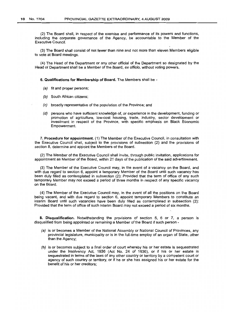(2) The Board shall, in respect of the exercise and performance of its powers and functions, including the corporate governance of the Agency, be accountable to the Member of the Executive Council.

(3) The Board shall consist of not fewer than nine and not more than eleven Members eligible to vote at Board meetings.

(4) The Head of the Department or any other official of the Department so designated by the Head of Department shall be a Member of the Board, ex officio, without voting powers.

6. **Qualifications for Membership of Board.** The Members shall be -

- (a) fit and proper persons;
- (b) South African citizens;
- (c) broadly representative of the population of the Province; and
- (d) persons who have sufficient knowledge of, or experience in the development, funding or promotion of agriculture, low-cost housing, trade, industry, sector development or investment in respect of the Province, with specific emphasis on Black Economic Empowerment.

7. **Procedure for appointment.** (1) The Member of the Executive Council, in consultation with the Executive Council shall, subject to the provisions of subsection (2) and the provisions of section 8, determine and appoint the Members of the Board.

(2) The Member of the Executive Council shall invite, through public invitation, applications for appointment as Member of the Board, within 21 days of the publication of the said advertisement.

(3) The Member of the Executive Council may, in the event of a vacancy on the Board, and with due regard to section 6, appoint a temporary Member of the Board until such vacancy has been duly filled as contemplated in subsection (2): Provided that the term of office of any such temporary Member may not exceed a period of three months in respect of any specific vacancy on the Board.

(4) The Member of the Executive Council may, in the event of all the positions on the Board being vacant, and with due regard to section 6, appoint temporary Members to constitute an interim Board until such vacancies have been duly filled as contemplated in subsection (2): Provided that the term of office of such interim Board may not exceed a period of six months.

8. **Disqualification.** Notwithstanding the provisions of section 5, 6 or 7, a person is disqualified from being appointed or remaining a Member of the Board if such person -

- (a) is or becomes a Member of the National Assembly or National Council of Provinces, any provincial legislature, municipality or is in the full-time employ of an organ of State, other than the Agency;
- (b) is or becomes subject to a final order of court whereby his or her estate is sequestrated under the Insolvency Act, 1936 (Act No. 24 of 1936), or if his or her estate is sequestrated in terms of the laws of any other country or territory by a competent court or agency of such country or territory, or if he or she has assigned his or her estate for the benefit of his or her creditors;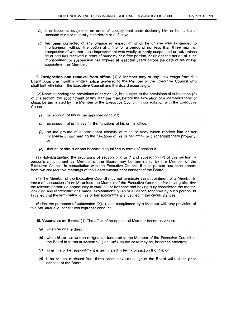- (e) is or becomes subject to an order of a competent court declaring him or her to be of unsound mind or mentally disordered or defective;
- (d) has been convicted of any offence in respect of which he or she was sentenced to imprisonment without the option of a fine for a period of not less than three months, irrespective of whether such imprisonment was wholly or partly suspended or not, unless he or she has received a grant of amnesty or a free pardon, or unless the period of such imprisonment or suspension has expired at least ten years before the date of his or her appointment as Member.

9. Resignation and removal from office. (1) A Member may at any time resign from the Board upon one month's written notice tendered to the Member of the Executive Council who shall forthwith inform the Executive Council and the Board accordingly.

(2) Notwithstanding the provisions of section 12, but subject to the provisions of subsection (3) of this section, the appointment of any Member may, before the expiration of a Member's term of office, be terminated by the Member of the Executive Council, in consultation with the Executive Council -

- (a) on account of his or her improper conduct;
- (b) on account of unfitness for the functions of his or her office;
- (c) on the ground of a permanent infirmity of mind or body which renders him or her incapable of discharging the functions of his or her office or discharging them properly; or
- (d) that he or she is or has become disqualified in terms of section 8.

(3) Notwithstanding the provisions of section 5, 6 or 7 and subsection (2) of this section, a person's appointment as Member of the Board may be terminated by the Member of the Executive Council, in consultation with the Executive Council, if such person has been absent from two consecutive meetings of the Board without prior consent of the Board.

(4) The Member of the Executive Council may not terminate the appointment of a Member in terms of subsection (2) or (3) unless the Member of the Executive Council, after having afforded the relevant person an opportunity to state his or her case and having duly considered the matter, including any representations made, explanations given or evidence tendered by such person, is satisfied that the termination of his or her appointment is justified in the circumstances.

(5) For the purposes of subsection (2)(a), non-compliance by a Member with any provision of this Act, inter alia, constitutes improper conduct.

10. Vacancies on Board. (1) The office of an appointed Member becomes vacant -

- (a) when he or she dies;
- $(b)$  when his or her written resignation tendered to the Member of the Executive Council or the Board in terms of section 9(1) or 13(6), as the case may be, becomes effective;
- (e) when his or her appointment is terminated in terms of section 9 or 14; or
- (d) jf he or she is absent from three consecutive meetings of the Board without the prior consent of the Board.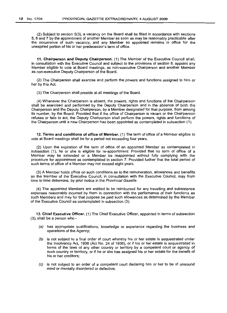(2) Subject to section 5(3), a vacancy on the Board shall be filled in accordance with sections 5, 6 and 7 by the appointment of another Member as soon as may be reasonably practicable after the occurrence of such vacancy, and any Member so appointed remains in office for the unexpired portion of his or her predecessor's term of office.

11. Chairperson and Deputy Chairperson. (1) The Member of the Executive Council shall, in consultation with the Executive Council and subject to the provisions of section 8, appoint any Member eligible to vote at Board meetings, as non-executive Chairperson and another Member as non-executive Deputy Chairperson of the Board.

(2) The Chairperson shall exercise and perform the powers and functions assigned to him or her by this Act.

(3) The Chairperson shall preside at all meetings of the Board.

(4) Whenever the Chairperson is absent, the powers, rights and functions of the Chairperson shall be exercised and performed by the Deputy Chairperson and in the absence of both the Chairperson and the Deputy Chairperson, by a Member designated for that purpose, from among its number, by the Board: Provided that if the office of Chairperson is vacant or the Chairperson refuses or fails to act, the Deputy Chairperson shall perform the powers, rights and functions of the Chairperson until a new Chairperson has been appointed as contemplated in subsection (1).

12. Terms and conditions of office of Member. (1) The term of office of a Member eligible to vote at Board meetings shall be for a period not exceeding four years.

(2) Upon the expiration of the term of office of an appointed Member as contemplated in subsection (1), he or she is eligible for re-appointment: Provided that no term of office of a Member may be extended or a Member be reappointed without fully complying with the procedure for appointment as contemplated in section 7: Provided further that the total period of such terms of office of a Member may not exceed eight years.

(3) A Member holds office on such conditions as to the remuneration, allowances and benefits as the Member of the Executive Council, in consultation with the Executive Council, may from time to time determine, by prior notice in the Provincial Gazette.

(4) The appointed Members are entitled to be reimbursed for any travelling and subsistence expenses reasonably incurred by them in connection with the performance of their functions as such Members and may for that purpose be paid such allowances as determined by the Member of the Executive Council as contemplated in subsection (3).

13. Chief Executive Officer. (1) The Chief Executive Officer, appointed in terms of subsection (3), shall be a person who -

- (a) has appropriate qualifications, knowledge or experience regarding the business and operations of the Agency;
- (b) is not subject to a final order of court whereby his or her estate is sequestrated under the Insolvency Act, 1936 (Act No. 24 of 1936), or if his or her estate is sequestrated in terms of the laws of any other country or territory by a competent court or agency of such country or territory, or if he or she has assigned his or her estate for the benefit of his or her creditors;
- (c) is not subject to an order of a competent court declaring him or her to be of unsound mind or mentally disordered or defective;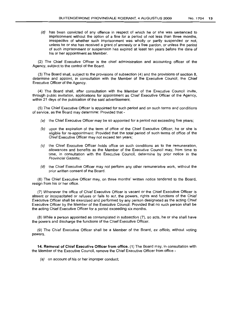(d) has been convicted of any offence in respect of which he or she was sentenced to imprisonment without the option of a fine for a period of not less than three months, irrespective of whether such imprisonment was wholly or partly suspended or not, unless he or she has received a grant of amnesty or a free pardon, or unless the period of such imprisonment or suspension has expired at least ten years before the date of his or her appointment as Member.

(2) The Chief Executive Officer is the chief administration and accounting officer of the Agency, subject to the control of the Board.

(3) The Board shall, subject to the provisions of subsection (4) and the provisions of section 8, determine and appoint, in consultation with the Member of the Executive Council, the Chief Executive Officer of the Agency.

(4) The Board shall, after consultation with the Member of the Executive Council invite, through public invitation, applications for appointment as Chief Executive Officer of the Agency, within 21 days of the publication of the said advertisement.

(5) The Chief Executive Officer is appointed for such period and on such terms and conditions of service, as the Board may determine: Provided that -

- (a) the Chief Executive Officer may be so appointed for a period not exceeding five years;
- (b) upon the expiration of the term of office of the Chief Executive Officer, he or she is eligible for re-appointment: Provided that the total period of such terms of office of the Chief Executive Officer may not exceed ten years;
- (c) the Chief Executive Officer holds office on such conditions as to the remuneration, allowances and benefits as the Member of the Executive Council may, from time to time, in consultation with the Executive Council, determine by prior notice in the Provincial Gazette;
- (d) the Chief Executive Officer may not perform any other remunerative work, without the prior written consent of the Board.

(6) The Chief Executive Officer may, on three months' written notice tendered to the Board, resign from his or her office.

(7) Whenever the office of Chief Executive Officer is vacant or the Chief Executive Officer is absent or incapacitated or refuses or fails to act, the powers, rights and functions of the Chief Executive Officer shall be exercised and performed by any person designated as the acting Chief Executive Officer by the Member of the Executive Council: Provided that no such person shall be the acting Chief Executive Officer for a period exceeding six months.

(8) While a person appointed as contemplated in subsection (7), so acts, he or she shall have the powers and discharge the functions of the Chief Executive Officer.

(9) The Chief Executive Officer shall be a Member of the Board, ex officio, without voting powers.

**14. Removal of Chief Executive Officer from office.** (1) The Board may, in consultation with the Member of the Executive Council, remove the Chief Executive Officer from office -

(a) on account of his or her improper conduct;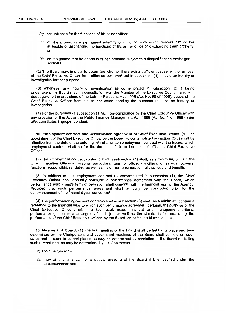- (b) for unfitness for the functions of his or her office;
- (e) on the ground of a permanent infirmity of mind or body which renders him or her incapable of discharging the functions of his or her office or discharging them properly; or
- (d) on the ground that he or she is or has become subject to a disqualification envisaged in section 8.

(2) The Board may, in order to determine whether there exists sufficient cause for the removal of the Chief Executive Officer from office as contemplated in subsection (1), initiate an inquiry or investigation for that purpose.

(3) Whenever any inquiry or investigation as contemplated in subsection (2) is being undertaken, the Board may, in consultation with the Member of the Executive Council, and with due regard to the provisions of the Labour Relations Act, 1995 (Act No. 66 of 1995), suspend the Chief Executive Officer from his or her office pending the outcome of such an inquiry or investigation.

(4) For the purposes of subsection  $(1)(a)$ , non-compliance by the Chief Executive Officer with any provision of this Act or the Public Finance Management Act, 1999 (Act No. 1 of 1999), inter alia, constitutes improper conduct.

15. Employment contract and performance agreement of Chief Executive Officer. (1) The appointment of the Chief Executive Officer by the Board as contemplated in section 13(3) shall be effective from the date of the entering into of a written employment contract with the Board, which employment contract shall be for the duration of his or her term of office as Chief Executive Officer.

(2) The employment contract contemplated in subsection (1) shall, as a minimum, contain the Chief Executive Officer's personal particulars, term of office, conditions of service, powers, functions, responsibilities, duties as well as his or her remuneration, allowances and benefits.

(3) In addition to the employment contract as contemplated in subsection (1), the Chief Executive Officer shall annually conclude a performance agreement with the Board, which performance agreement's term of operation shall coincide with the financial year of the Agency: Provided that such performance agreement shall annually be concluded prior to the commencement of the financial year concerned.

(4) The performance agreement contemplated in subsection (3) shall, as a minimum, contain a reference to the financial year to which such performance agreement pertains, the purpose of the Chief Executive Officer's job, the key result areas, financial and management criteria, performance guidelines and targets of such job as well as the standards for measuring the performance of the Chief Executive Officer, by the Board, on at least a bi-annual basis.

16. Meetings of Board. (1) The first meeting of the Board shall be held at a place and time determined by the Chairperson, and subsequent meetings of the Board shall be held on such dates and at such times and places as may be determined by resolution of the Board or, failing such a resolution, as may be determined by the Chairperson.

 $(2)$  The Chairperson -

(a) may at any time call for a special meeting of the Board if it is justified under the circumstances; and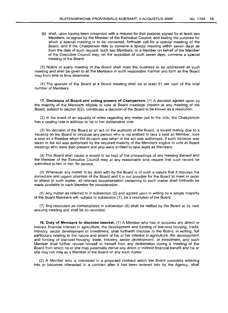(b) shall, upon having been presented with a request for that purpose signed by at least two Members, or signed by the Member of the Executive Council, and stating the purpose for which a special meeting is to be convened, forthwith call for a special meeting of the Board, and if the Chairperson fails to convene a special meeting within seven days as from the date of such request, such two Members, or a Member on behalf of the Member of the Executive Council may, on the expiration of such seven days, convene a special meeting of the Board.

(3) Notice of every meeting of the Board shall state the business to be addressed at such meeting and shall be given to all the Members in such reasonable manner and form as the Board may from time to time determine.

(4) The quorum of the Board at a Board meeting shall be at least 51 per cent of the total number of Members.

17. **Decisions of Board and voting powers of Chairperson.** (1) A decision agreed upon by the majority of the Members eligible to vote at Board meetings present at any meeting of the Board, subject to section 5(2), constitutes a decision of the Board to be known as a resolution.

(2) In the event of an equality of votes regarding any matter put to the vote, the Chairperson has a casting vote in addition to his or her deliberative vote.

(3) No decision of the Board or an act on the authority of the Board, is invalid merely due to a vacancy on the Board or because any person who is not entitled to take a seat as Member, took a seat as a Member when the decision was taken or the act was authorised, if such decision was taken or the act was authorised by the required majority of the Members eligible to vote at Board meetings who were then present and who were entitled to take seats as Members.

(4) The Board shall cause a record to be kept of the proceedings of any meeting thereof and the Member of the Executive Council may at any reasonable time require that such record be submitted to him or her, for perusal.

(5) Whenever any matter to be dealt with by the Board is of such a nature that it requires the immediate and urgent attention of the Board and it is not possible for the Board to meet in order to attend to such matter, all relevant documentation pertaining to such matter shall forthwith be made available to each Member for consideration.

(6) Any matter as referred to in subsection (5) and agreed upon in writing by a simple majority of the Board Members will, subject to subsection (7), be a resolution of the Board.

(7) Any resolution as contemplated in subsection (6) shall be ratified by the Board at its next ensuing meeting and shall be so recorded.

18. **Duty of Members to disclose interest.** (1) A Member who has or acquires any direct or indirect financial interest in agriculture, the development and funding of low-cost housing, trade, industry, sector development or investment, shall forthwith disclose to the Board, in writing, full particulars relating to the nature and extent of his or her interest in agriculture, the development and funding of low-cost housing, trade, industry, sector development or investment, and such Member shall further recuse himself or herself from any deliberation during a meeting of the Board from which he or she may potentially derive any direct or indirect financial benefit and he or she may not vote as a Member of the Board on any such matter.

(2) A Member who is interested in a proposed contract which the Board considers entering into or becomes interested in a contract after it has been entered into by the Agency, shall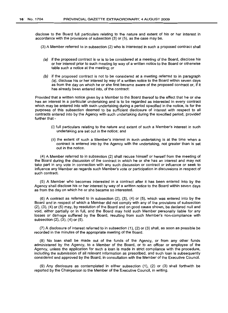disclose to the Board full particulars relating to the nature and extent of his or her interest in accordance with the provisions of subsection (3) or (5), as the case may be.

- (3) A Member referred to in subsection (2) who is interested in such a proposed contract shall
	- (a) if the proposed contract is or is to be considered at a meeting of the Board, disclose his or her interest prior to such meeting by way of a written notice to the Board or otherwise table such a notice at the meeting; or
	- (b) if the proposed contract is not to be considered at a meeting referred to in paragraph (a), disclose his or her interest by way of a written notice to the Board within seven days as from the day on which he or she first became aware of the proposed contract or, if it has already been entered into, of the contract:

Provided that a written notice given by a Member to the Board thereof to the effect that he or she has an interest in a particular undertaking and is to be regarded as interested in every contract which may be entered into with such undertaking during a period specified in the notice, is for the purposes of this subsection deemed to be sufficient disclosure of interest with respect to all contracts entered into by the Agency with such undertaking during the specified period, provided further that -

- (i) full particulars relating to the nature and extent of such a Member's interest in such undertaking are set out in the notice; and
- (ii) the extent of such a Member's interest in such undertaking is at the time when a contract is entered into by the Agency with the undertaking, not greater than is set out in the notice.

(4) A Member referred to in subsection (2) shall recuse himself or herself from the meeting of the Board during the discussion of the contract in which he or she has an interest and may not take part in any vote in connection with any such discussion or contract or influence or seek to influence any Member as regards such Member's vote or participation in discussions in respect of such contract.

(5) A Member who becomes interested in a contract after it has been entered into by the Agency shall disclose his or her interest by way of a written notice to the Board within seven days as from the day on which he or she became so interested.

(6) A contract as referred to in subsection (2), (3), (4) or (5), which was entered into by the Board and in respect of which a Member did not comply with any of the provisions of subsection (2), (3), (4) or (5) may, by resolution of the Board and on good cause shown, be declared null and void, either partially or in full, and the Board may hold such Member personally liable for any losses or damage suffered by the Board, resulting from such Member's non-compliance with subsection (2), (3), (4) or (5).

(7) A disclosure of interest referred to in subsection (1), (2) or (3) shall, as soon as possible be recorded in the minutes of the appropriate meeting of the Board.

(8) No loan shall be made out of the funds of the Agency, or from any other funds administered by the Agency, to a Member of the Board, or to an officer or employee of the Agency, unless the application for such a loan is made in strict compliance with the procedure, including the submission of all relevant information as prescribed, and such loan is subsequently considered and approved by the Board, in consultation with the Member of the Executive Council.

(9) Any disclosure as contemplated in either subsection (1), (2) or (3) shall forthwith be reported by the Chairperson to the Member of the Executive Council, in writing.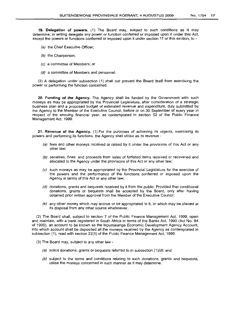19. Delegation of powers. (1) The Board may, subject to such conditions as it may determine, in writing delegate any power or function conferred or imposed upon it under this Act, except the powers or functions conferred or imposed upon it under section 17 or this section, to -

- (a) the Chief Executive Officer;
- (b) the Chairperson:
- (c) a committee of Members; or
- (d) a committee of Members and personnel.

(2) A delegation under subsection (1) shall not prevent the Board itself from exercising the power or performing the function concerned.

20. Funding of the Agency. The Agency shall be funded by the Government with such moneys as may be appropriated by the Provincial Legislature, after consideration of a strategic business plan and a proposed budget of estimated revenue and expenditure, duly submitted by the Agency to the Member of the Executive Council, before or on 30 September of every year in respect of the ensuing financial year, as contemplated in section 52 of the Public Finance Management Act, 1999.

21. Revenue of the Agency. (1) For the purposes of achieving its objects, exercising its powers and performing its functions, the Agency shall utilise as its revenue -

- (a) fees and other moneys received or raised by it under the provisions of this Act or any other law;
- (b) penalties, fines, and proceeds from sales of forfeited items received or recovered and allocated to the Agency under the provisions of this Act or any other law;
- (c) such moneys as may be appropriated by the Provincial Legislature for the exercise of the powers and the performance of the functions conferred or imposed upon the Agency in terms of this Act or any other law;
- (d) donations, grants and bequests received by it from the public: Provided that conditional donations, grants or bequests shall be accepted by the Board, only after having obtained prior written approval from the Member of the Executive Council;
- (e) any other money which may accrue or be appropriated to it. or which may be placed at its disposal from any other source whatsoever.

(2) The Board shall, subject to section 7 of the Public Finance Management Act, 1999, open and maintain, with a bank registered in South Africa in terms of the Banks Act. 1990 (Act No. 94 of 1990), an account to be known as the Mpumalanga Economic Development Agency Account, into which account shall be deposited all the moneys received by the Agency as contemplated in subsection (1), read with section 22(5) of the Public Finance Management Act, 1999.

- (3) The Board may, subject to any other law
	- (a) solicit donations, grants or bequests referred to in subsection  $(1)(d)$ ; and
	- (b) subject to the terms and conditions relating to such donations, grants and bequests, utilise the moneys concerned in such manner as it may determine.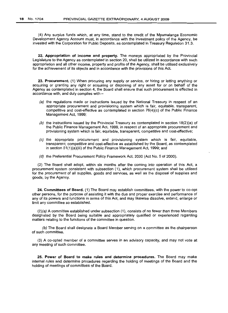(4) Any surplus funds which, at any time, stand to the credit of the Mpumalanga Economic Development Agency Account must, in accordance with the investment policy of the Agency, be invested with the Corporation for Public Deposits, as contemplated in Treasury Regulation 31.3.

22. Appropriation of income and property. The moneys appropriated by the Provincial Legislature to the Agency as contemplated in section 20, shall be utilized in accordance with such appropriation and all other income, property and profits of the Agency, shall be utilised exclusively for the achievement of its objects and in accordance with the provisions of this Act.

23. Procurement. (1) When procuring any supply or service, or hiring or letting anything or acquiring or granting any right or acquiring or disposing of any asset for or on behalf of the Agency as contemplated in section 4, the Board shall ensure that such procurement is effected in accordance with, and duly complies with -

- (a) the regulations made or instructions issued by the National Treasury in respect of an appropriate procurement and provisioning system which is fair, equitable, transparent, competitive and cost-effective as contemplated in section  $76(4)(c)$  of the Public Finance Management Act, 1999;
- (b) the instructions issued by the Provincial Treasury as contemplated in section  $18(2)(a)$  of the Public Finance Management Act, 1999, in respect of an appropriate procurement and provisioning system which is fair, equitable, transparent, competitive and cost-effective;
- (c) the appropriate procurement and provisioning system which is fair, equitable, transparent, competitive and cost-effective as established by the Board, as contemplated in section 51(1)(a)(iii) of the Public Finance Management Act, 1999; and
- (d) the Preferential Procurement Policy Framework Act, 2000 (Act No.5 of 2000).

(2) The Board shall adopt, within six months after the coming into operation of this Act, a procurement system consistent with subsection (1), which procurement system shall be utilised for the procurement of all supplies, goods and services, as well as the disposal of supplies and goods, by the Agency.

24. Committees of Board. (1) The Board may establish committees, with the power to co-opt other persons, for the purpose of assisting it with the due and proper exercise and performance of any of its powers and functions in terms of this Act, and may likewise dissolve, extend, enlarge or limit any committee so established.

(2)(a) A committee established under subsection (1), consists of no fewer than three Members designated by the Board being suitable and appropriately qualified or experienced regarding matters relating to the functions of the committee in question.

(b) The Board shall designate a Board Member serving on a committee as the chairperson of such committee.

(3) A co-opted member of a committee serves in an advisory capacity, and may not vote at any meeting of such committee.

25. Power of Board to make rules and determine procedures. The Board may make internal rules and determine procedures regarding the holding of meetings of the Board and the holding of meetings of committees of the Board.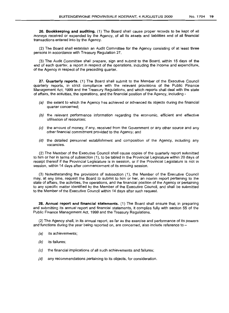26. Bookkeeping and auditing. (1) The Board shall cause proper records to be kept of all moneys received or expended by the Agency, of all its assets and liabilities and of all financial transactions entered into by the Agency.

(2) The Board shall establish an Audit Committee for the Agency consisting of at least three persons in accordance with Treasury Regulation 27.

(3) The Audit Committee shall prepare, sign and submit to the Board, within 15 days of the end of each quarter, a report in respect of the operations, including the income and expenditure, of the Agency in respect of the preceding quarter.

27. Quarterly reports. (1) The Board shall submit to the Member of the Executive Council quarterly reports, in strict compliance with the relevant provisions of the Public Finance Management Act, 1999 and the Treasury Regulations, and which reports shall deal with the state of affairs, the activities, the operations, and the financial position of the Agency, including -

- (a) the extent to which the Agency has achieved or advanced its objects during the financial quarter concerned;
- (b) the relevant performance information regarding the economic, efficient and effective utilisation of resources;
- (e) the amount of money, if any, received from the Government or any other source and any other financial commitment provided to the Agency; and
- (d) the detailed personnel establishment and composition of the Agency, including any vacancies.

(2) The Member of the Executive Council shall cause copies of the quarterly report submitted to him or her in terms of subsection (1), to be tabled in the Provincial Legislature within 20 days of receipt thereof if the Provincial Legislature is in session, or if the Provincial Legislature is not in session, within 14 days after commencement of its ensuing session.

(3) Notwithstanding the provisions of subsection (1), the Member of the Executive Council may, at any time, request the Board to submit to him or her, an interim report pertaining to the state of affairs, the activities, the operations, and the financial position of the Agency or pertaining to any specific matter identified by the Member of the Executive Council, and shall be submitted to the Member of the Executive Council within 14 days after such request.

28. Annual report and financial statements. (1) The Board shall ensure that, in preparing and submitting its annual report and financial statements, it complies fully with section 55 of the Public Finance Management Act, 1999 and the Treasury Regulations.

(2) The Agency shall, in its annual report, as far as the exercise and performance of its powers and functions during the year being reported on, are concerned, also include reference to  $-$ 

- (a) its achievements;
- (b) its failures;
- (e) the financial implications of all such achievements and failures;
- (d) any recommendations pertaining to its objects, for consideration.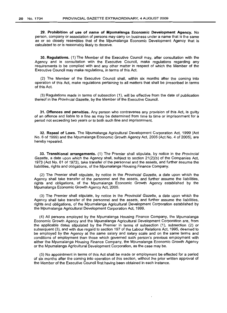29. Prohibition of use of name of Mpumalanga Economic Development Agency. No person, company or association of persons may carry on business under a name that is the same as or so closely resembles that of the Mpumalanga Economic Development Agency that is calculated to or is reasonably likely to deceive.

30. Regulations. (1) The Member of the Executive Council may, after consultation with the Agency and in consultation with the Executive Council, make regulations regarding any requirements to be complied with and any other matter in respect of which the Member of the Executive Council may make regulations, in terms of this Act.

(2) The Member of the Executive Council shall, within six months after the coming into operation of this Act, make regulations pertaining to all matters that shall be prescribed in terms of this Act.

(3) Regulations made in terms of subsection (1), will be effective from the date of publication thereof in the Provincial Gazette, by the Member of the Executive Council.

31. Offences and penalties. Any person who contravenes any provision of this Act, is guilty of an offence and liable to a fine as may be determined from time to time or imprisonment for a period not exceeding two years or to both such fine and imprisonment.

32. Repeal of Laws. The Mpumalanga Agricultural Development Corporation Act, 1999 (Act No.6 of 1999) and the Mpumalanga Economic Growth Agency Act, *2005* (Act No.4 of 2005), are hereby repealed.

33. Transitional arrangements. (1) The Premier shall stipulate, by notice in the Provincial Gazette, a date upon which the Agency shall, subject to section 21(2)(b) of the Companies Act, 1973 (Act No. 61 of 1973), take transfer of the personnel and the assets, and further assume the liabilities, rights and obligations, of the Mpumalanga Housing Finance Company.

(2) The Premier shall stipulate, by notice in the Provincial Gazette, a date upon which the Agency shall take transfer of the personnel and the assets, and further assume the liabilities, rights and obligations, of the Mpumalanga Economic Growth Agency established by the Mpumalanga Economic Growth Agency Act, 2005.

(3) The Premier shall stipulate, by notice in the Provincial Gazette, a date upon which the Agency shall take transfer of the personnel and the assets, and further assume the liabilities, rights and obligations, of the Mpumalanga Agricultural Development Corporation established by the Mpumalanga Agricultural Development Corporation Act, 1999.

(4) All persons employed by the Mpumalanga Housing Finance Company, the Mpumalanga Economic Growth Agency and the Mpumalanga Agricultural Development Corporation are, from the applicable dates stipulated by the Premier in terms of subsection (1), subsection (2) or subsequent (3), and with due regard to section 197 of the Labour Relations Act, 1995, deemed to be employed by the Agency at the same salary and salary scale and on the same terms and conditions of employment than those which governed such person's previous employment with either the Mpumalanga Housing Finance Company, the Mpumalanga Economic Growth Agency or the Mpumalanga Agricultural Development Corporation, as the case may be.

(5) No appointment in terms of this Act shall be made or employment be effected for a period of six months after the coming into operation of this section, without the prior written approval of the Member of the Executive Council first having been obtained in each instance.